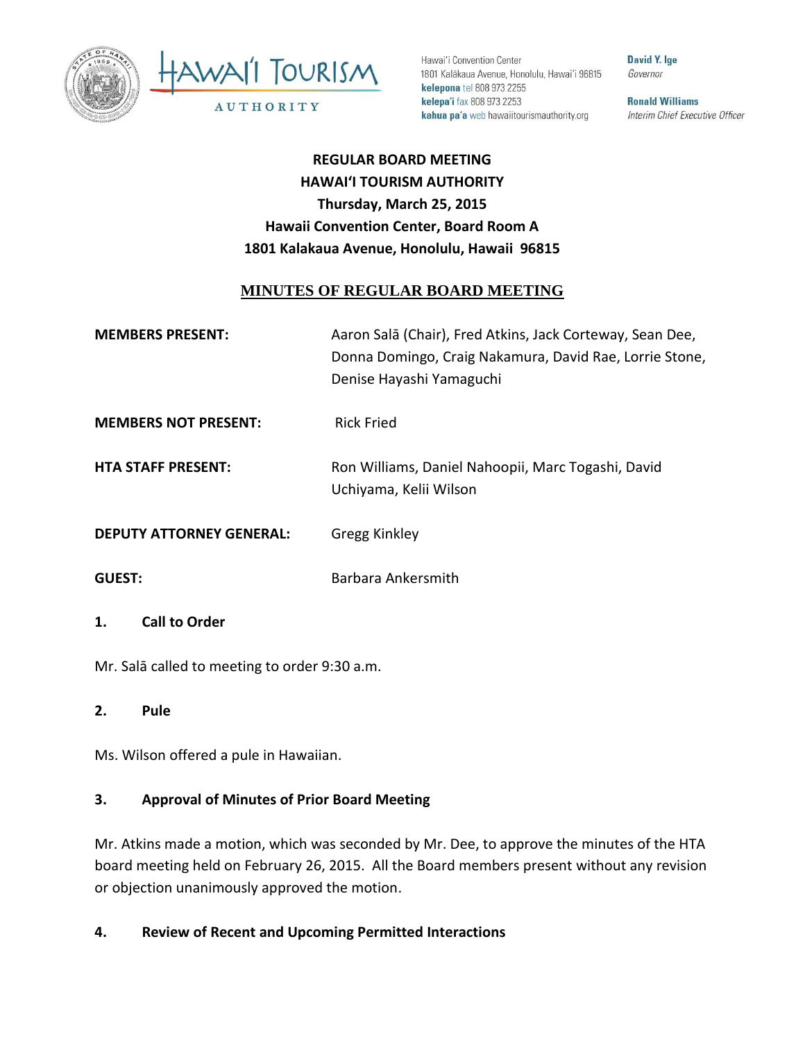



Hawai'i Convention Center 1801 Kalākaua Avenue, Honolulu, Hawai'i 96815 kelepona tel 808 973 2255 kelepa'i fax 808 973 2253 kahua pa'a web hawaiitourismauthority.org

David Y. Ige Governor

**Ronald Williams** Interim Chief Executive Officer

**REGULAR BOARD MEETING HAWAI'I TOURISM AUTHORITY Thursday, March 25, 2015 Hawaii Convention Center, Board Room A 1801 Kalakaua Avenue, Honolulu, Hawaii 96815** 

## **MINUTES OF REGULAR BOARD MEETING**

| <b>MEMBERS PRESENT:</b>     | Aaron Salā (Chair), Fred Atkins, Jack Corteway, Sean Dee, |
|-----------------------------|-----------------------------------------------------------|
|                             | Donna Domingo, Craig Nakamura, David Rae, Lorrie Stone,   |
|                             | Denise Hayashi Yamaguchi                                  |
|                             |                                                           |
| <b>MEMBERS NOT PRESENT:</b> | <b>Rick Fried</b>                                         |

**HTA STAFF PRESENT:** Ron Williams, Daniel Nahoopii, Marc Togashi, David Uchiyama, Kelii Wilson

**DEPUTY ATTORNEY GENERAL:** Gregg Kinkley

**GUEST:** Barbara Ankersmith

# **1. Call to Order**

Mr. Salā called to meeting to order 9:30 a.m.

**2. Pule**

Ms. Wilson offered a pule in Hawaiian.

# **3. Approval of Minutes of Prior Board Meeting**

Mr. Atkins made a motion, which was seconded by Mr. Dee, to approve the minutes of the HTA board meeting held on February 26, 2015. All the Board members present without any revision or objection unanimously approved the motion.

# **4. Review of Recent and Upcoming Permitted Interactions**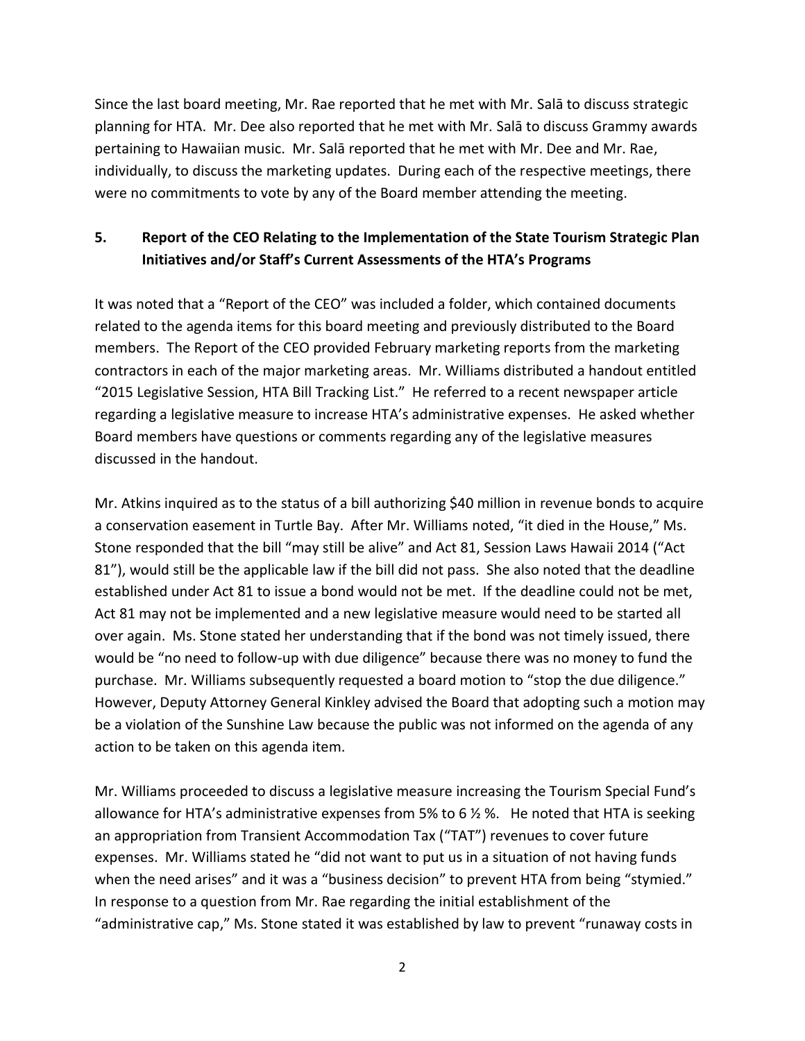Since the last board meeting, Mr. Rae reported that he met with Mr. Salā to discuss strategic planning for HTA. Mr. Dee also reported that he met with Mr. Salā to discuss Grammy awards pertaining to Hawaiian music. Mr. Salā reported that he met with Mr. Dee and Mr. Rae, individually, to discuss the marketing updates. During each of the respective meetings, there were no commitments to vote by any of the Board member attending the meeting.

# **5. Report of the CEO Relating to the Implementation of the State Tourism Strategic Plan Initiatives and/or Staff's Current Assessments of the HTA's Programs**

It was noted that a "Report of the CEO" was included a folder, which contained documents related to the agenda items for this board meeting and previously distributed to the Board members. The Report of the CEO provided February marketing reports from the marketing contractors in each of the major marketing areas. Mr. Williams distributed a handout entitled "2015 Legislative Session, HTA Bill Tracking List." He referred to a recent newspaper article regarding a legislative measure to increase HTA's administrative expenses. He asked whether Board members have questions or comments regarding any of the legislative measures discussed in the handout.

Mr. Atkins inquired as to the status of a bill authorizing \$40 million in revenue bonds to acquire a conservation easement in Turtle Bay. After Mr. Williams noted, "it died in the House," Ms. Stone responded that the bill "may still be alive" and Act 81, Session Laws Hawaii 2014 ("Act 81"), would still be the applicable law if the bill did not pass. She also noted that the deadline established under Act 81 to issue a bond would not be met. If the deadline could not be met, Act 81 may not be implemented and a new legislative measure would need to be started all over again. Ms. Stone stated her understanding that if the bond was not timely issued, there would be "no need to follow-up with due diligence" because there was no money to fund the purchase. Mr. Williams subsequently requested a board motion to "stop the due diligence." However, Deputy Attorney General Kinkley advised the Board that adopting such a motion may be a violation of the Sunshine Law because the public was not informed on the agenda of any action to be taken on this agenda item.

Mr. Williams proceeded to discuss a legislative measure increasing the Tourism Special Fund's allowance for HTA's administrative expenses from 5% to 6  $\frac{1}{2}$ %. He noted that HTA is seeking an appropriation from Transient Accommodation Tax ("TAT") revenues to cover future expenses. Mr. Williams stated he "did not want to put us in a situation of not having funds when the need arises" and it was a "business decision" to prevent HTA from being "stymied." In response to a question from Mr. Rae regarding the initial establishment of the "administrative cap," Ms. Stone stated it was established by law to prevent "runaway costs in

<sup>2</sup>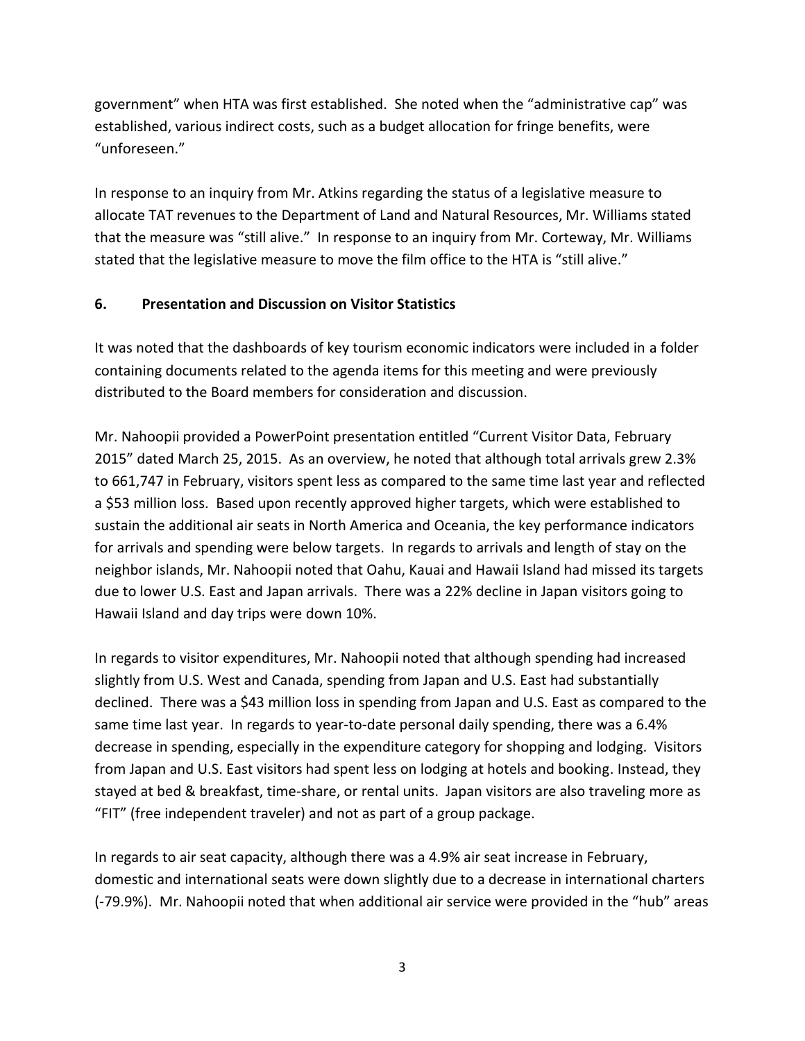government" when HTA was first established. She noted when the "administrative cap" was established, various indirect costs, such as a budget allocation for fringe benefits, were "unforeseen."

In response to an inquiry from Mr. Atkins regarding the status of a legislative measure to allocate TAT revenues to the Department of Land and Natural Resources, Mr. Williams stated that the measure was "still alive." In response to an inquiry from Mr. Corteway, Mr. Williams stated that the legislative measure to move the film office to the HTA is "still alive."

## **6. Presentation and Discussion on Visitor Statistics**

It was noted that the dashboards of key tourism economic indicators were included in a folder containing documents related to the agenda items for this meeting and were previously distributed to the Board members for consideration and discussion.

Mr. Nahoopii provided a PowerPoint presentation entitled "Current Visitor Data, February 2015" dated March 25, 2015. As an overview, he noted that although total arrivals grew 2.3% to 661,747 in February, visitors spent less as compared to the same time last year and reflected a \$53 million loss. Based upon recently approved higher targets, which were established to sustain the additional air seats in North America and Oceania, the key performance indicators for arrivals and spending were below targets. In regards to arrivals and length of stay on the neighbor islands, Mr. Nahoopii noted that Oahu, Kauai and Hawaii Island had missed its targets due to lower U.S. East and Japan arrivals. There was a 22% decline in Japan visitors going to Hawaii Island and day trips were down 10%.

In regards to visitor expenditures, Mr. Nahoopii noted that although spending had increased slightly from U.S. West and Canada, spending from Japan and U.S. East had substantially declined. There was a \$43 million loss in spending from Japan and U.S. East as compared to the same time last year. In regards to year-to-date personal daily spending, there was a 6.4% decrease in spending, especially in the expenditure category for shopping and lodging. Visitors from Japan and U.S. East visitors had spent less on lodging at hotels and booking. Instead, they stayed at bed & breakfast, time-share, or rental units. Japan visitors are also traveling more as "FIT" (free independent traveler) and not as part of a group package.

In regards to air seat capacity, although there was a 4.9% air seat increase in February, domestic and international seats were down slightly due to a decrease in international charters (-79.9%). Mr. Nahoopii noted that when additional air service were provided in the "hub" areas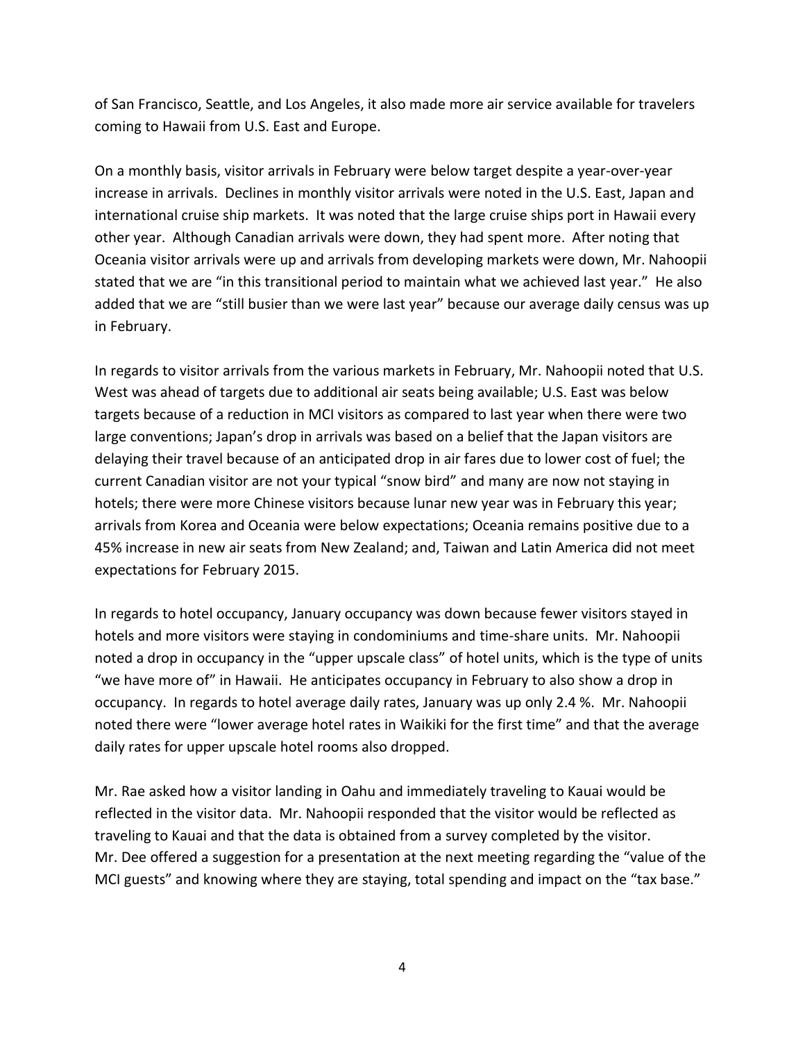of San Francisco, Seattle, and Los Angeles, it also made more air service available for travelers coming to Hawaii from U.S. East and Europe.

On a monthly basis, visitor arrivals in February were below target despite a year-over-year increase in arrivals. Declines in monthly visitor arrivals were noted in the U.S. East, Japan and international cruise ship markets. It was noted that the large cruise ships port in Hawaii every other year. Although Canadian arrivals were down, they had spent more. After noting that Oceania visitor arrivals were up and arrivals from developing markets were down, Mr. Nahoopii stated that we are "in this transitional period to maintain what we achieved last year." He also added that we are "still busier than we were last year" because our average daily census was up in February.

In regards to visitor arrivals from the various markets in February, Mr. Nahoopii noted that U.S. West was ahead of targets due to additional air seats being available; U.S. East was below targets because of a reduction in MCI visitors as compared to last year when there were two large conventions; Japan's drop in arrivals was based on a belief that the Japan visitors are delaying their travel because of an anticipated drop in air fares due to lower cost of fuel; the current Canadian visitor are not your typical "snow bird" and many are now not staying in hotels; there were more Chinese visitors because lunar new year was in February this year; arrivals from Korea and Oceania were below expectations; Oceania remains positive due to a 45% increase in new air seats from New Zealand; and, Taiwan and Latin America did not meet expectations for February 2015.

In regards to hotel occupancy, January occupancy was down because fewer visitors stayed in hotels and more visitors were staying in condominiums and time-share units. Mr. Nahoopii noted a drop in occupancy in the "upper upscale class" of hotel units, which is the type of units "we have more of" in Hawaii. He anticipates occupancy in February to also show a drop in occupancy. In regards to hotel average daily rates, January was up only 2.4 %. Mr. Nahoopii noted there were "lower average hotel rates in Waikiki for the first time" and that the average daily rates for upper upscale hotel rooms also dropped.

Mr. Rae asked how a visitor landing in Oahu and immediately traveling to Kauai would be reflected in the visitor data. Mr. Nahoopii responded that the visitor would be reflected as traveling to Kauai and that the data is obtained from a survey completed by the visitor. Mr. Dee offered a suggestion for a presentation at the next meeting regarding the "value of the MCI guests" and knowing where they are staying, total spending and impact on the "tax base."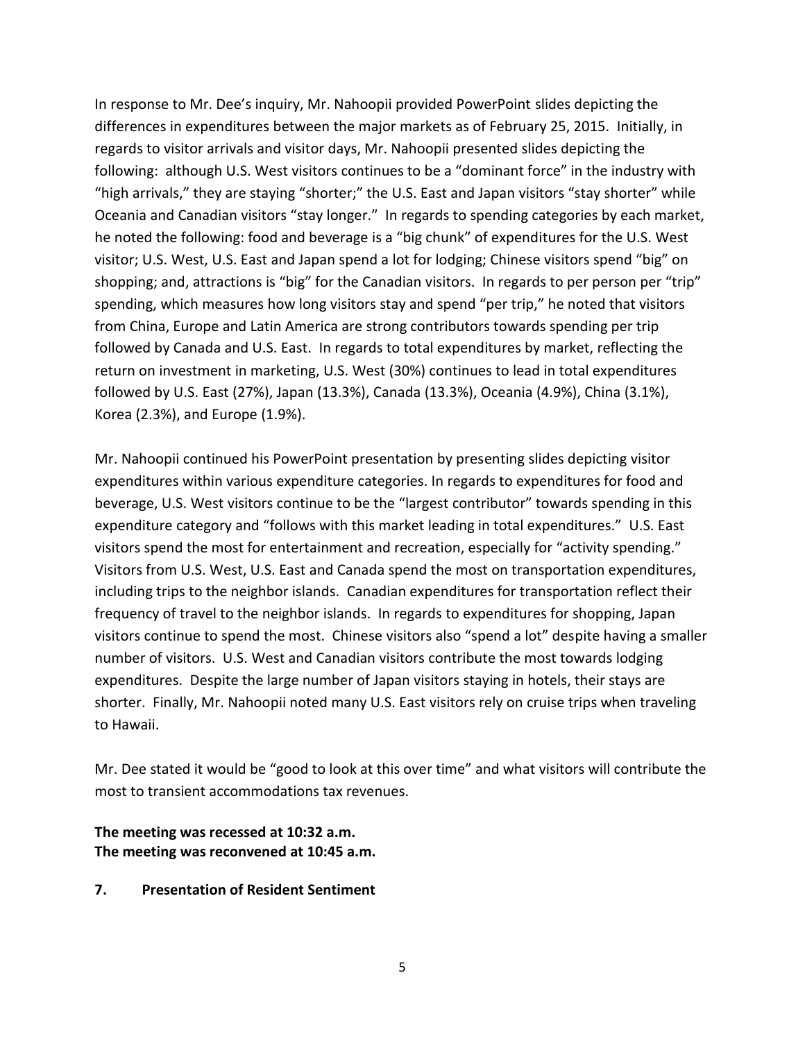In response to Mr. Dee's inquiry, Mr. Nahoopii provided PowerPoint slides depicting the differences in expenditures between the major markets as of February 25, 2015. Initially, in regards to visitor arrivals and visitor days, Mr. Nahoopii presented slides depicting the following: although U.S. West visitors continues to be a "dominant force" in the industry with "high arrivals," they are staying "shorter;" the U.S. East and Japan visitors "stay shorter" while Oceania and Canadian visitors "stay longer." In regards to spending categories by each market, he noted the following: food and beverage is a "big chunk" of expenditures for the U.S. West visitor; U.S. West, U.S. East and Japan spend a lot for lodging; Chinese visitors spend "big" on shopping; and, attractions is "big" for the Canadian visitors. In regards to per person per "trip" spending, which measures how long visitors stay and spend "per trip," he noted that visitors from China, Europe and Latin America are strong contributors towards spending per trip followed by Canada and U.S. East. In regards to total expenditures by market, reflecting the return on investment in marketing, U.S. West (30%) continues to lead in total expenditures followed by U.S. East (27%), Japan (13.3%), Canada (13.3%), Oceania (4.9%), China (3.1%), Korea (2.3%), and Europe (1.9%).

Mr. Nahoopii continued his PowerPoint presentation by presenting slides depicting visitor expenditures within various expenditure categories. In regards to expenditures for food and beverage, U.S. West visitors continue to be the "largest contributor" towards spending in this expenditure category and "follows with this market leading in total expenditures." U.S. East visitors spend the most for entertainment and recreation, especially for "activity spending." Visitors from U.S. West, U.S. East and Canada spend the most on transportation expenditures, including trips to the neighbor islands. Canadian expenditures for transportation reflect their frequency of travel to the neighbor islands. In regards to expenditures for shopping, Japan visitors continue to spend the most. Chinese visitors also "spend a lot" despite having a smaller number of visitors. U.S. West and Canadian visitors contribute the most towards lodging expenditures. Despite the large number of Japan visitors staying in hotels, their stays are shorter. Finally, Mr. Nahoopii noted many U.S. East visitors rely on cruise trips when traveling to Hawaii.

Mr. Dee stated it would be "good to look at this over time" and what visitors will contribute the most to transient accommodations tax revenues.

#### **The meeting was recessed at 10:32 a.m. The meeting was reconvened at 10:45 a.m.**

**7. Presentation of Resident Sentiment**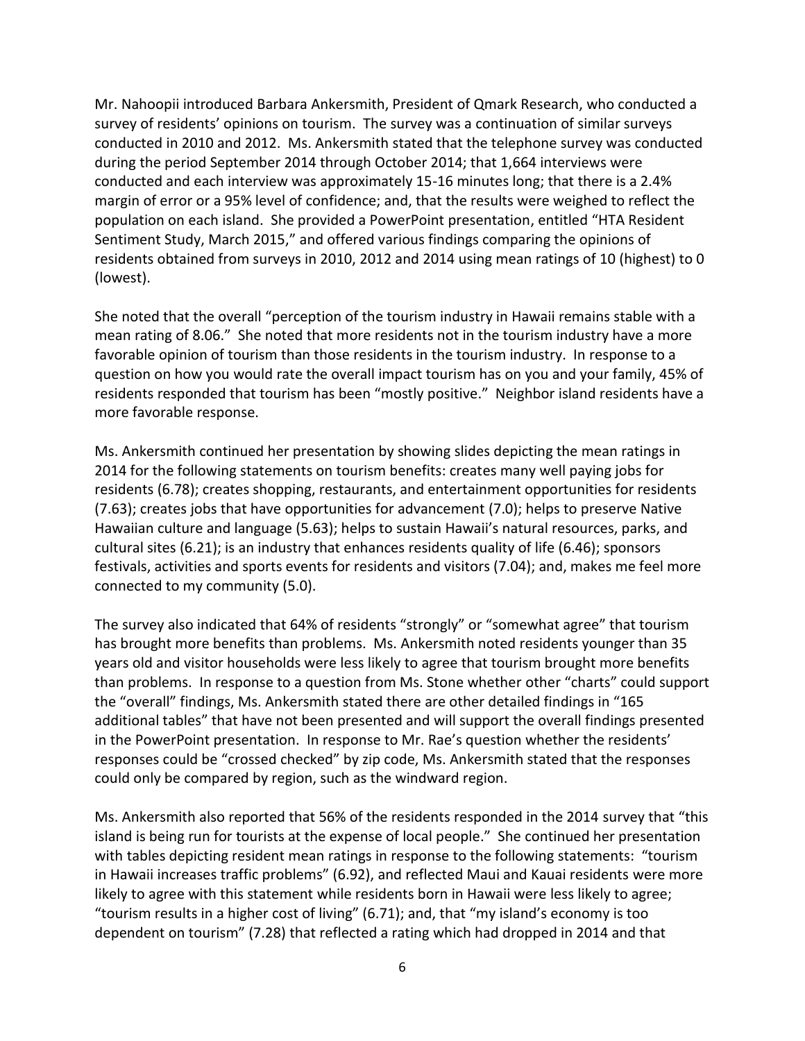Mr. Nahoopii introduced Barbara Ankersmith, President of Qmark Research, who conducted a survey of residents' opinions on tourism. The survey was a continuation of similar surveys conducted in 2010 and 2012. Ms. Ankersmith stated that the telephone survey was conducted during the period September 2014 through October 2014; that 1,664 interviews were conducted and each interview was approximately 15-16 minutes long; that there is a 2.4% margin of error or a 95% level of confidence; and, that the results were weighed to reflect the population on each island. She provided a PowerPoint presentation, entitled "HTA Resident Sentiment Study, March 2015," and offered various findings comparing the opinions of residents obtained from surveys in 2010, 2012 and 2014 using mean ratings of 10 (highest) to 0 (lowest).

She noted that the overall "perception of the tourism industry in Hawaii remains stable with a mean rating of 8.06." She noted that more residents not in the tourism industry have a more favorable opinion of tourism than those residents in the tourism industry. In response to a question on how you would rate the overall impact tourism has on you and your family, 45% of residents responded that tourism has been "mostly positive." Neighbor island residents have a more favorable response.

Ms. Ankersmith continued her presentation by showing slides depicting the mean ratings in 2014 for the following statements on tourism benefits: creates many well paying jobs for residents (6.78); creates shopping, restaurants, and entertainment opportunities for residents (7.63); creates jobs that have opportunities for advancement (7.0); helps to preserve Native Hawaiian culture and language (5.63); helps to sustain Hawaii's natural resources, parks, and cultural sites (6.21); is an industry that enhances residents quality of life (6.46); sponsors festivals, activities and sports events for residents and visitors (7.04); and, makes me feel more connected to my community (5.0).

The survey also indicated that 64% of residents "strongly" or "somewhat agree" that tourism has brought more benefits than problems. Ms. Ankersmith noted residents younger than 35 years old and visitor households were less likely to agree that tourism brought more benefits than problems. In response to a question from Ms. Stone whether other "charts" could support the "overall" findings, Ms. Ankersmith stated there are other detailed findings in "165 additional tables" that have not been presented and will support the overall findings presented in the PowerPoint presentation. In response to Mr. Rae's question whether the residents' responses could be "crossed checked" by zip code, Ms. Ankersmith stated that the responses could only be compared by region, such as the windward region.

Ms. Ankersmith also reported that 56% of the residents responded in the 2014 survey that "this island is being run for tourists at the expense of local people." She continued her presentation with tables depicting resident mean ratings in response to the following statements: "tourism in Hawaii increases traffic problems" (6.92), and reflected Maui and Kauai residents were more likely to agree with this statement while residents born in Hawaii were less likely to agree; "tourism results in a higher cost of living" (6.71); and, that "my island's economy is too dependent on tourism" (7.28) that reflected a rating which had dropped in 2014 and that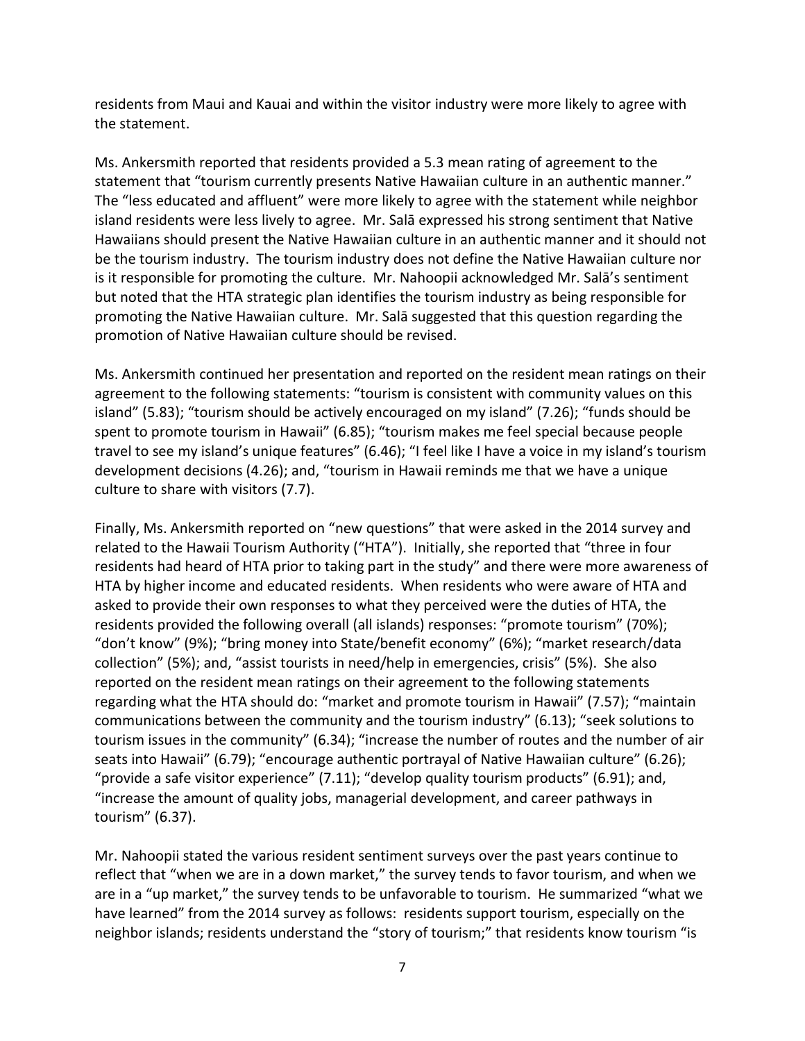residents from Maui and Kauai and within the visitor industry were more likely to agree with the statement.

Ms. Ankersmith reported that residents provided a 5.3 mean rating of agreement to the statement that "tourism currently presents Native Hawaiian culture in an authentic manner." The "less educated and affluent" were more likely to agree with the statement while neighbor island residents were less lively to agree. Mr. Salā expressed his strong sentiment that Native Hawaiians should present the Native Hawaiian culture in an authentic manner and it should not be the tourism industry. The tourism industry does not define the Native Hawaiian culture nor is it responsible for promoting the culture. Mr. Nahoopii acknowledged Mr. Salā's sentiment but noted that the HTA strategic plan identifies the tourism industry as being responsible for promoting the Native Hawaiian culture. Mr. Salā suggested that this question regarding the promotion of Native Hawaiian culture should be revised.

Ms. Ankersmith continued her presentation and reported on the resident mean ratings on their agreement to the following statements: "tourism is consistent with community values on this island" (5.83); "tourism should be actively encouraged on my island" (7.26); "funds should be spent to promote tourism in Hawaii" (6.85); "tourism makes me feel special because people travel to see my island's unique features" (6.46); "I feel like I have a voice in my island's tourism development decisions (4.26); and, "tourism in Hawaii reminds me that we have a unique culture to share with visitors (7.7).

Finally, Ms. Ankersmith reported on "new questions" that were asked in the 2014 survey and related to the Hawaii Tourism Authority ("HTA"). Initially, she reported that "three in four residents had heard of HTA prior to taking part in the study" and there were more awareness of HTA by higher income and educated residents. When residents who were aware of HTA and asked to provide their own responses to what they perceived were the duties of HTA, the residents provided the following overall (all islands) responses: "promote tourism" (70%); "don't know" (9%); "bring money into State/benefit economy" (6%); "market research/data collection" (5%); and, "assist tourists in need/help in emergencies, crisis" (5%). She also reported on the resident mean ratings on their agreement to the following statements regarding what the HTA should do: "market and promote tourism in Hawaii" (7.57); "maintain communications between the community and the tourism industry" (6.13); "seek solutions to tourism issues in the community" (6.34); "increase the number of routes and the number of air seats into Hawaii" (6.79); "encourage authentic portrayal of Native Hawaiian culture" (6.26); "provide a safe visitor experience" (7.11); "develop quality tourism products" (6.91); and, "increase the amount of quality jobs, managerial development, and career pathways in tourism" (6.37).

Mr. Nahoopii stated the various resident sentiment surveys over the past years continue to reflect that "when we are in a down market," the survey tends to favor tourism, and when we are in a "up market," the survey tends to be unfavorable to tourism. He summarized "what we have learned" from the 2014 survey as follows: residents support tourism, especially on the neighbor islands; residents understand the "story of tourism;" that residents know tourism "is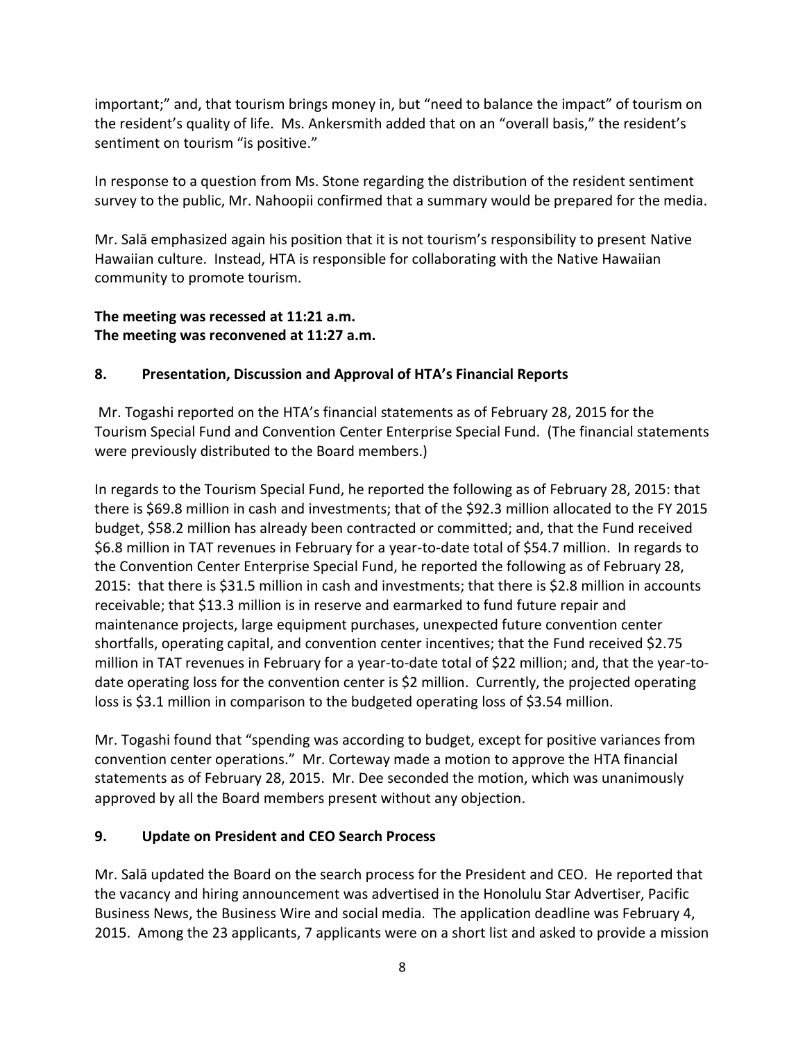important;" and, that tourism brings money in, but "need to balance the impact" of tourism on the resident's quality of life. Ms. Ankersmith added that on an "overall basis," the resident's sentiment on tourism "is positive."

In response to a question from Ms. Stone regarding the distribution of the resident sentiment survey to the public, Mr. Nahoopii confirmed that a summary would be prepared for the media.

Mr. Salā emphasized again his position that it is not tourism's responsibility to present Native Hawaiian culture. Instead, HTA is responsible for collaborating with the Native Hawaiian community to promote tourism.

# **The meeting was recessed at 11:21 a.m. The meeting was reconvened at 11:27 a.m.**

## **8. Presentation, Discussion and Approval of HTA's Financial Reports**

Mr. Togashi reported on the HTA's financial statements as of February 28, 2015 for the Tourism Special Fund and Convention Center Enterprise Special Fund. (The financial statements were previously distributed to the Board members.)

In regards to the Tourism Special Fund, he reported the following as of February 28, 2015: that there is \$69.8 million in cash and investments; that of the \$92.3 million allocated to the FY 2015 budget, \$58.2 million has already been contracted or committed; and, that the Fund received \$6.8 million in TAT revenues in February for a year-to-date total of \$54.7 million. In regards to the Convention Center Enterprise Special Fund, he reported the following as of February 28, 2015: that there is \$31.5 million in cash and investments; that there is \$2.8 million in accounts receivable; that \$13.3 million is in reserve and earmarked to fund future repair and maintenance projects, large equipment purchases, unexpected future convention center shortfalls, operating capital, and convention center incentives; that the Fund received \$2.75 million in TAT revenues in February for a year-to-date total of \$22 million; and, that the year-todate operating loss for the convention center is \$2 million. Currently, the projected operating loss is \$3.1 million in comparison to the budgeted operating loss of \$3.54 million.

Mr. Togashi found that "spending was according to budget, except for positive variances from convention center operations." Mr. Corteway made a motion to approve the HTA financial statements as of February 28, 2015. Mr. Dee seconded the motion, which was unanimously approved by all the Board members present without any objection.

## **9. Update on President and CEO Search Process**

Mr. Salā updated the Board on the search process for the President and CEO. He reported that the vacancy and hiring announcement was advertised in the Honolulu Star Advertiser, Pacific Business News, the Business Wire and social media. The application deadline was February 4, 2015. Among the 23 applicants, 7 applicants were on a short list and asked to provide a mission